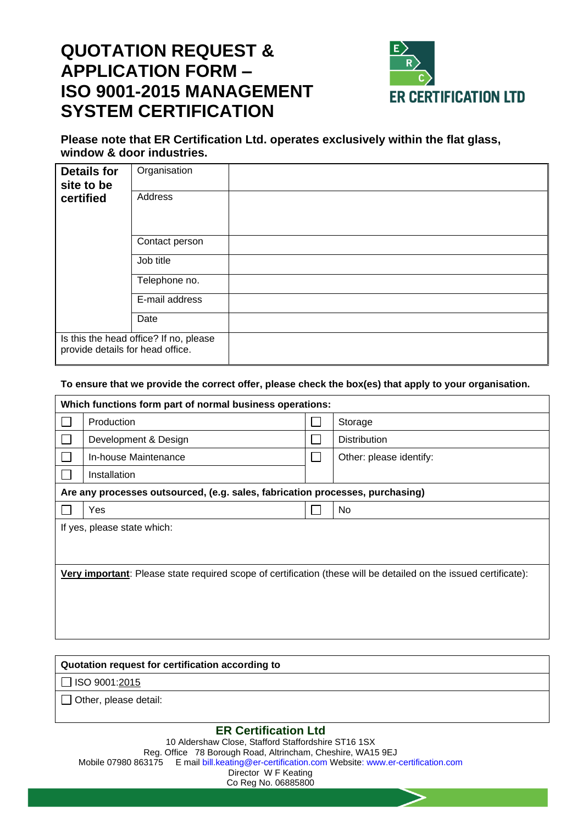# **QUOTATION REQUEST & APPLICATION FORM – ISO 9001-2015 MANAGEMENT SYSTEM CERTIFICATION**



### **Please note that ER Certification Ltd. operates exclusively within the flat glass, window & door industries.**

| <b>Details for</b><br>site to be                                           | Organisation   |  |
|----------------------------------------------------------------------------|----------------|--|
| certified                                                                  | Address        |  |
|                                                                            | Contact person |  |
|                                                                            | Job title      |  |
|                                                                            | Telephone no.  |  |
|                                                                            | E-mail address |  |
|                                                                            | Date           |  |
| Is this the head office? If no, please<br>provide details for head office. |                |  |

#### **To ensure that we provide the correct offer, please check the box(es) that apply to your organisation.**

| Which functions form part of normal business operations:                                                                 |                                                                               |  |                         |  |
|--------------------------------------------------------------------------------------------------------------------------|-------------------------------------------------------------------------------|--|-------------------------|--|
|                                                                                                                          | Production                                                                    |  | Storage                 |  |
|                                                                                                                          | Development & Design                                                          |  | <b>Distribution</b>     |  |
|                                                                                                                          | In-house Maintenance                                                          |  | Other: please identify: |  |
|                                                                                                                          | Installation                                                                  |  |                         |  |
|                                                                                                                          | Are any processes outsourced, (e.g. sales, fabrication processes, purchasing) |  |                         |  |
|                                                                                                                          | Yes                                                                           |  | No.                     |  |
| If yes, please state which:                                                                                              |                                                                               |  |                         |  |
|                                                                                                                          |                                                                               |  |                         |  |
|                                                                                                                          |                                                                               |  |                         |  |
| <b>Very important</b> : Please state required scope of certification (these will be detailed on the issued certificate): |                                                                               |  |                         |  |
|                                                                                                                          |                                                                               |  |                         |  |
|                                                                                                                          |                                                                               |  |                         |  |
|                                                                                                                          |                                                                               |  |                         |  |

| Quotation request for certification according to |  |  |
|--------------------------------------------------|--|--|
| $\Box$ ISO 9001:2015                             |  |  |
| $\Box$ Other, please detail:                     |  |  |
| _____                                            |  |  |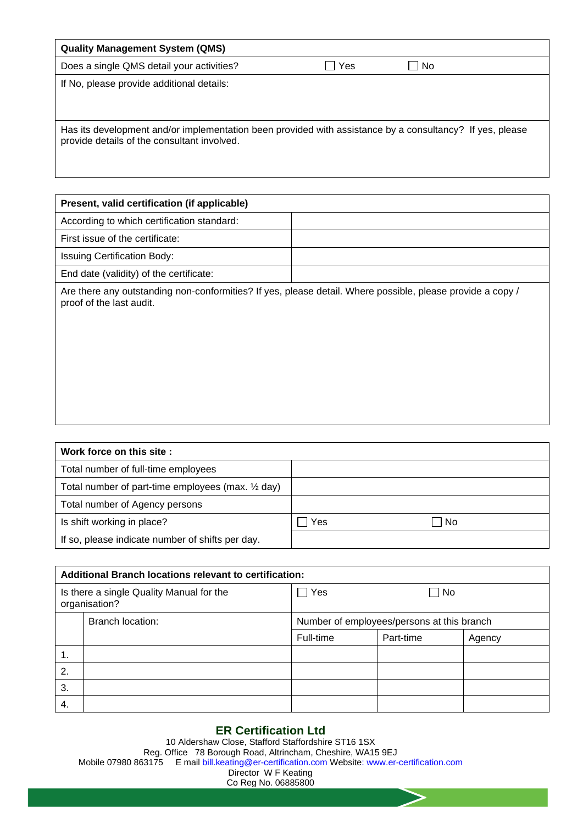| <b>Quality Management System (QMS)</b>                                                                                                                  |     |     |
|---------------------------------------------------------------------------------------------------------------------------------------------------------|-----|-----|
| Does a single QMS detail your activities?                                                                                                               | Yes | No. |
| If No, please provide additional details:                                                                                                               |     |     |
| Has its development and/or implementation been provided with assistance by a consultancy? If yes, please<br>provide details of the consultant involved. |     |     |

| Present, valid certification (if applicable)                                                                                           |  |
|----------------------------------------------------------------------------------------------------------------------------------------|--|
| According to which certification standard:                                                                                             |  |
| First issue of the certificate:                                                                                                        |  |
| <b>Issuing Certification Body:</b>                                                                                                     |  |
| End date (validity) of the certificate:                                                                                                |  |
| Are there any outstanding non-conformities? If yes, please detail. Where possible, please provide a copy /<br>proof of the last audit. |  |

| Work force on this site:                           |     |     |  |
|----------------------------------------------------|-----|-----|--|
| Total number of full-time employees                |     |     |  |
| Total number of part-time employees (max. 1/2 day) |     |     |  |
| Total number of Agency persons                     |     |     |  |
| Is shift working in place?                         | Yes | No. |  |
| If so, please indicate number of shifts per day.   |     |     |  |

| Additional Branch locations relevant to certification:    |                  |                                            |           |        |
|-----------------------------------------------------------|------------------|--------------------------------------------|-----------|--------|
| Is there a single Quality Manual for the<br>organisation? |                  | Yes<br>No                                  |           |        |
|                                                           | Branch location: | Number of employees/persons at this branch |           |        |
|                                                           |                  | Full-time                                  | Part-time | Agency |
| 1.                                                        |                  |                                            |           |        |
| 2.                                                        |                  |                                            |           |        |
| 3.                                                        |                  |                                            |           |        |
| 4.                                                        |                  |                                            |           |        |

## **ER Certification Ltd**

10 Aldershaw Close, Stafford Staffordshire ST16 1SX Reg. Office 78 Borough Road, Altrincham, Cheshire, WA15 9EJ Mobile 07980 863175 E mail bill.keating@er-certification.com Website: www.er-certification.com Director W F Keating Co Reg No. 06885800